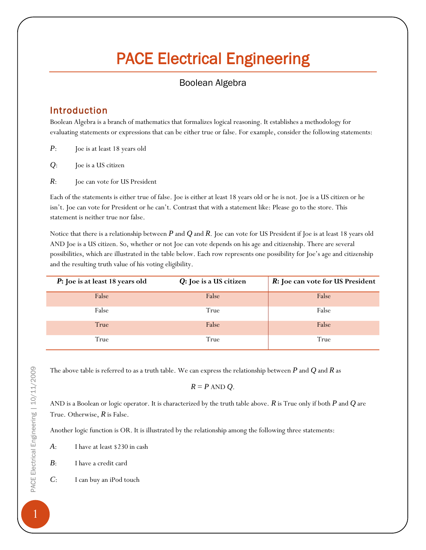# PACE Electrical Engineering

# Boolean Algebra

# Introduction

Boolean Algebra is a branch of mathematics that formalizes logical reasoning. It establishes a methodology for evaluating statements or expressions that can be either true or false. For example, consider the following statements:

- *P*: Joe is at least 18 years old
- *Q*: Joe is a US citizen
- *R*: Joe can vote for US President

Each of the statements is either true of false. Joe is either at least 18 years old or he is not. Joe is a US citizen or he isn't. Joe can vote for President or he can't. Contrast that with a statement like: Please go to the store. This statement is neither true nor false.

Notice that there is a relationship between *P* and *Q* and *R*. Joe can vote for US President if Joe is at least 18 years old AND Joe is a US citizen. So, whether or not Joe can vote depends on his age and citizenship. There are several possibilities, which are illustrated in the table below. Each row represents one possibility for Joe's age and citizenship and the resulting truth value of his voting eligibility.

| P: Joe is at least 18 years old | $Q:$ Joe is a US citizen | R: Joe can vote for US President |
|---------------------------------|--------------------------|----------------------------------|
| False                           | False                    | False                            |
| False                           | True                     | False                            |
| True                            | False                    | False                            |
| True                            | True                     | True                             |

The above table is referred to as a truth table. We can express the relationship between *P* and *Q* and *R* as

$$
R = P \text{ AND } Q.
$$

AND is a Boolean or logic operator. It is characterized by the truth table above. *R* is True only if both *P* and *Q* are True. Otherwise, *R* is False.

Another logic function is OR. It is illustrated by the relationship among the following three statements:

- *A*: I have at least \$230 in cash
- *B*: I have a credit card
- *C*: I can buy an iPod touch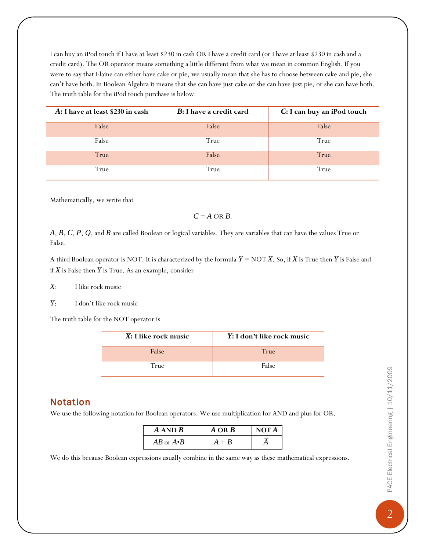I can buy an iPod touch if I have at least \$230 in cash OR I have a credit card (or I have at least \$230 in cash and a credit card). The OR operator means something a little different from what we mean in common English. If you were to say that Elaine can either have cake or pie, we usually mean that she has to choose between cake and pie, she can't have both. In Boolean Algebra it means that she can have just cake or she can have just pie, or she can have both. The truth table for the iPod touch purchase is below:

| A: I have at least \$230 in cash | <b>B</b> : I have a credit card | C: I can buy an iPod touch |
|----------------------------------|---------------------------------|----------------------------|
| False                            | False                           | False                      |
| False                            | True                            | True                       |
| True                             | False                           | True                       |
| True                             | True                            | True                       |

Mathematically, we write that

### $C = A \text{ OR } B$ .

*A*, *B*, *C*, *P*, *Q*, and *R* are called Boolean or logical variables. They are variables that can have the values True or False.

A third Boolean operator is NOT. It is characterized by the formula *Y* = NOT *X*. So, if *X* is True then *Y* is False and if *X* is False then *Y* is True. As an example, consider

*X*: I like rock music

*Y*: I don't like rock music

The truth table for the NOT operator is

| $X:$ I like rock music | Y: I don't like rock music |
|------------------------|----------------------------|
| False                  | True                       |
| True                   | False                      |

## Notation

We use the following notation for Boolean operators. We use multiplication for AND and plus for OR.

| $A$ AND $B$         | $A$ OR $B$ | NOTA |
|---------------------|------------|------|
| $AB$ or $A \cdot B$ | $+ B$      |      |

We do this because Boolean expressions usually combine in the same way as these mathematical expressions.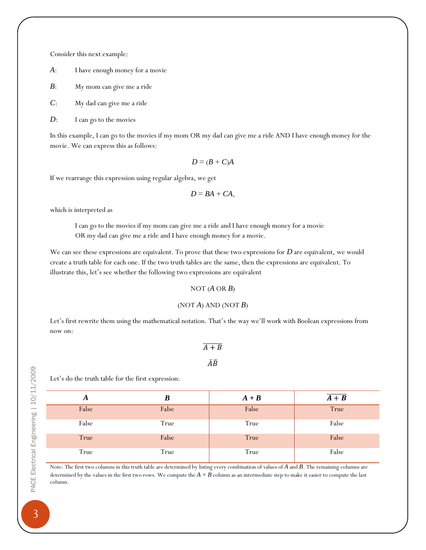Consider this next example:

*A*: I have enough money for a movie

*B*: My mom can give me a ride

*C*: My dad can give me a ride

*D*: I can go to the movies

In this example, I can go to the movies if my mom OR my dad can give me a ride AND I have enough money for the movie. We can express this as follows:

$$
D = (B + C)A
$$

If we rearrange this expression using regular algebra, we get

$$
D=BA+CA,
$$

which is interpreted as

I can go to the movies if my mom can give me a ride and I have enough money for a movie OR my dad can give me a ride and I have enough money for a movie.

We can see these expressions are equivalent. To prove that these two expressions for *D* are equivalent, we would create a truth table for each one. If the two truth tables are the same, then the expressions are equivalent. To illustrate this, let's see whether the following two expressions are equivalent

#### NOT  $(A \t{OR} B)$

## $(NOT A) AND (NOT B)$

Let's first rewrite them using the mathematical notation. That's the way we'll work with Boolean expressions from now on:

## $\overline{A+B}$  $\overline{A}\overline{B}$

PACE Electrical Engineering | 10/11/2009 PACE Electrical Engineering | 10/11/2009

Let's do the truth table for the first expression:

| A     | ĸ     | $A + B$ | $\overline{A+B}$ |
|-------|-------|---------|------------------|
| False | False | False   | True             |
| False | True  | True    | False            |
| True  | False | True    | False            |
| True  | True  | True    | False            |

Note: The first two columns in this truth table are determined by listing every combination of values of *A* and *B*. The remaining columns are determined by the values in the first two rows. We compute the  $A + B$  column as an intermediate step to make it easier to compute the last column.